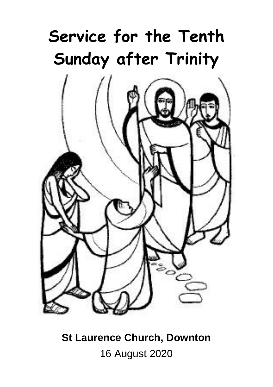# **Service for the Tenth Sunday after Trinity**



**St Laurence Church, Downton** 16 August 2020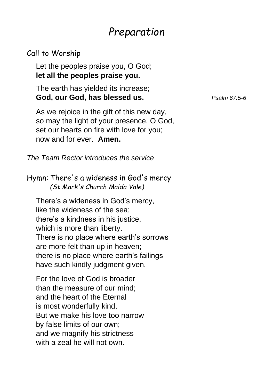# *Preparation*

#### Call to Worship

Let the peoples praise you, O God; **let all the peoples praise you.**

The earth has yielded its increase; **God, our God, has blessed us.** *Psalm 67:5-6*

As we rejoice in the gift of this new day, so may the light of your presence, O God, set our hearts on fire with love for you; now and for ever. **Amen.**

*The Team Rector introduces the service*

Hymn: There's a wideness in God's mercy *(St Mark's Church Maida Vale)*

There's a wideness in God's mercy, like the wideness of the sea; there's a kindness in his justice, which is more than liberty. There is no place where earth's sorrows are more felt than up in heaven; there is no place where earth's failings have such kindly judgment given.

For the love of God is broader than the measure of our mind; and the heart of the Eternal is most wonderfully kind. But we make his love too narrow by false limits of our own; and we magnify his strictness with a zeal he will not own.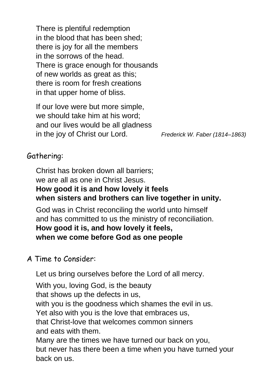There is plentiful redemption in the blood that has been shed; there is joy for all the members in the sorrows of the head. There is grace enough for thousands of new worlds as great as this; there is room for fresh creations in that upper home of bliss.

If our love were but more simple, we should take him at his word; and our lives would be all gladness in the joy of Christ our Lord. *Frederick W. Faber (1814–1863)*

#### Gathering:

Christ has broken down all barriers; we are all as one in Christ Jesus. **How good it is and how lovely it feels when sisters and brothers can live together in unity.**

God was in Christ reconciling the world unto himself and has committed to us the ministry of reconciliation. **How good it is, and how lovely it feels, when we come before God as one people**

#### A Time to Consider:

Let us bring ourselves before the Lord of all mercy.

With you, loving God, is the beauty that shows up the defects in us, with you is the goodness which shames the evil in us. Yet also with you is the love that embraces us, that Christ-love that welcomes common sinners and eats with them. Many are the times we have turned our back on you, but never has there been a time when you have turned your back on us.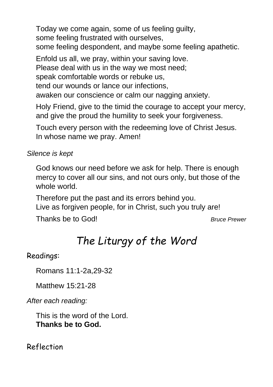Today we come again, some of us feeling guilty, some feeling frustrated with ourselves, some feeling despondent, and maybe some feeling apathetic.

Enfold us all, we pray, within your saving love. Please deal with us in the way we most need; speak comfortable words or rebuke us, tend our wounds or lance our infections, awaken our conscience or calm our nagging anxiety.

Holy Friend, give to the timid the courage to accept your mercy, and give the proud the humility to seek your forgiveness.

Touch every person with the redeeming love of Christ Jesus. In whose name we pray. Amen!

*Silence is kept*

God knows our need before we ask for help. There is enough mercy to cover all our sins, and not ours only, but those of the whole world.

Therefore put the past and its errors behind you. Live as forgiven people, for in Christ, such you truly are!

Thanks be to God! *Bruce Prewer*

# *The Liturgy of the Word*

Readings:

Romans 11:1-2a,29-32

Matthew 15:21-28

*After each reading:*

This is the word of the Lord. **Thanks be to God.**

Reflection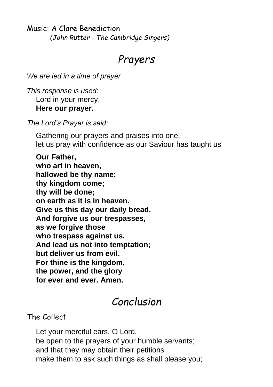Music: A Clare Benediction *(John Rutter - The Cambridge Singers)*

## *Prayers*

*We are led in a time of prayer*

*This response is used:* Lord in your mercy, **Here our prayer.**

*The Lord's Prayer is said:*

Gathering our prayers and praises into one, let us pray with confidence as our Saviour has taught us

**Our Father, who art in heaven, hallowed be thy name; thy kingdom come; thy will be done; on earth as it is in heaven. Give us this day our daily bread. And forgive us our trespasses, as we forgive those who trespass against us. And lead us not into temptation; but deliver us from evil. For thine is the kingdom, the power, and the glory for ever and ever. Amen.**

### *Conclusion*

The Collect

Let your merciful ears, O Lord, be open to the prayers of your humble servants; and that they may obtain their petitions make them to ask such things as shall please you;